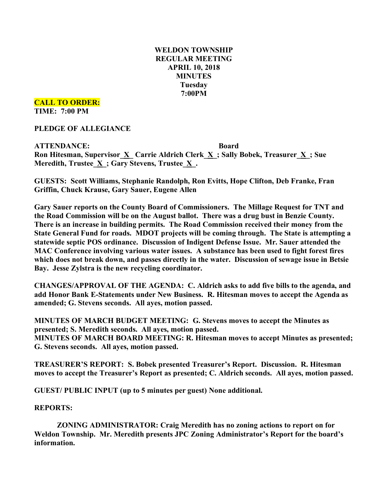# **WELDON TOWNSHIP REGULAR MEETING APRIL 10, 2018 MINUTES Tuesday 7:00PM**

### **CALL TO ORDER: TIME: 7:00 PM**

**PLEDGE OF ALLEGIANCE**

**ATTENDANCE: Board Ron Hitesman, Supervisor\_X\_ Carrie Aldrich Clerk\_X\_; Sally Bobek, Treasurer\_X\_; Sue Meredith, Trustee**  $\underline{X}$ **; Gary Stevens, Trustee**  $\underline{X}$ **.** 

**GUESTS: Scott Williams, Stephanie Randolph, Ron Evitts, Hope Clifton, Deb Franke, Fran Griffin, Chuck Krause, Gary Sauer, Eugene Allen**

**Gary Sauer reports on the County Board of Commissioners. The Millage Request for TNT and the Road Commission will be on the August ballot. There was a drug bust in Benzie County. There is an increase in building permits. The Road Commission received their money from the State General Fund for roads. MDOT projects will be coming through. The State is attempting a statewide septic POS ordinance. Discussion of Indigent Defense Issue. Mr. Sauer attended the MAC Conference involving various water issues. A substance has been used to fight forest fires which does not break down, and passes directly in the water. Discussion of sewage issue in Betsie Bay. Jesse Zylstra is the new recycling coordinator.**

**CHANGES/APPROVAL OF THE AGENDA: C. Aldrich asks to add five bills to the agenda, and add Honor Bank E-Statements under New Business. R. Hitesman moves to accept the Agenda as amended; G. Stevens seconds. All ayes, motion passed.**

**MINUTES OF MARCH BUDGET MEETING: G. Stevens moves to accept the Minutes as presented; S. Meredith seconds. All ayes, motion passed. MINUTES OF MARCH BOARD MEETING: R. Hitesman moves to accept Minutes as presented; G. Stevens seconds. All ayes, motion passed.**

**TREASURER'S REPORT: S. Bobek presented Treasurer's Report. Discussion. R. Hitesman moves to accept the Treasurer's Report as presented; C. Aldrich seconds. All ayes, motion passed.**

**GUEST/ PUBLIC INPUT (up to 5 minutes per guest) None additional.**

## **REPORTS:**

**ZONING ADMINISTRATOR: Craig Meredith has no zoning actions to report on for Weldon Township. Mr. Meredith presents JPC Zoning Administrator's Report for the board's information.**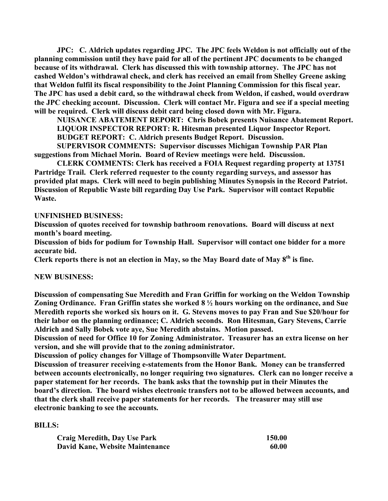**JPC: C. Aldrich updates regarding JPC. The JPC feels Weldon is not officially out of the planning commission until they have paid for all of the pertinent JPC documents to be changed because of its withdrawal. Clerk has discussed this with township attorney. The JPC has not cashed Weldon's withdrawal check, and clerk has received an email from Shelley Greene asking that Weldon fulfil its fiscal responsibility to the Joint Planning Commission for this fiscal year. The JPC has used a debit card, so the withdrawal check from Weldon, if cashed, would overdraw the JPC checking account. Discussion. Clerk will contact Mr. Figura and see if a special meeting will be required. Clerk will discuss debit card being closed down with Mr. Figura.**

**NUISANCE ABATEMENT REPORT: Chris Bobek presents Nuisance Abatement Report. LIQUOR INSPECTOR REPORT: R. Hitesman presented Liquor Inspector Report. BUDGET REPORT: C. Aldrich presents Budget Report. Discussion.**

**SUPERVISOR COMMENTS: Supervisor discusses Michigan Township PAR Plan suggestions from Michael Morin. Board of Review meetings were held. Discussion.**

**CLERK COMMENTS: Clerk has received a FOIA Request regarding property at 13751 Partridge Trail. Clerk referred requester to the county regarding surveys, and assessor has provided plat maps. Clerk will need to begin publishing Minutes Synopsis in the Record Patriot. Discussion of Republic Waste bill regarding Day Use Park. Supervisor will contact Republic Waste.**

### **UNFINISHED BUSINESS:**

**Discussion of quotes received for township bathroom renovations. Board will discuss at next month's board meeting.**

**Discussion of bids for podium for Township Hall. Supervisor will contact one bidder for a more accurate bid.**

**Clerk reports there is not an election in May, so the May Board date of May 8th is fine.**

### **NEW BUSINESS:**

**Discussion of compensating Sue Meredith and Fran Griffin for working on the Weldon Township Zoning Ordinance. Fran Griffin states she worked 8 ½ hours working on the ordinance, and Sue Meredith reports she worked six hours on it. G. Stevens moves to pay Fran and Sue \$20/hour for their labor on the planning ordinance; C. Aldrich seconds. Ron Hitesman, Gary Stevens, Carrie Aldrich and Sally Bobek vote aye, Sue Meredith abstains. Motion passed.**

**Discussion of need for Office 10 for Zoning Administrator. Treasurer has an extra license on her version, and she will provide that to the zoning administrator.**

**Discussion of policy changes for Village of Thompsonville Water Department.**

**Discussion of treasurer receiving e-statements from the Honor Bank. Money can be transferred between accounts electronically, no longer requiring two signatures. Clerk can no longer receive a paper statement for her records. The bank asks that the township put in their Minutes the board's direction. The board wishes electronic transfers not to be allowed between accounts, and that the clerk shall receive paper statements for her records. The treasurer may still use electronic banking to see the accounts.**

### **BILLS:**

| <b>Craig Meredith, Day Use Park</b>    | 150.00 |
|----------------------------------------|--------|
| <b>David Kane, Website Maintenance</b> | 60.00  |